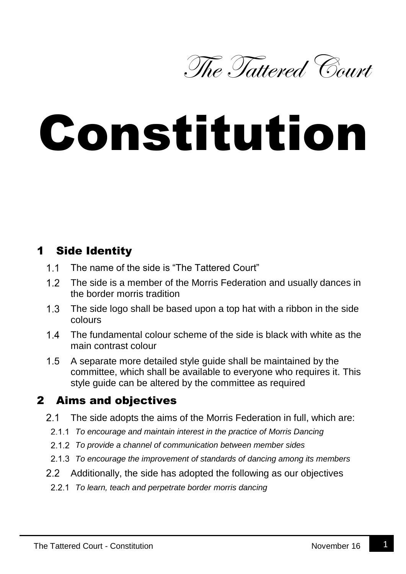

# Constitution

## 1 Side Identity

- $11$ The name of the side is "The Tattered Court"
- $1.2$ The side is a member of the Morris Federation and usually dances in the border morris tradition
- $1.3$ The side logo shall be based upon a top hat with a ribbon in the side colours
- $14$ The fundamental colour scheme of the side is black with white as the main contrast colour
- $1.5$ A separate more detailed style guide shall be maintained by the committee, which shall be available to everyone who requires it. This style guide can be altered by the committee as required

#### 2 Aims and objectives

- $2.1$ The side adopts the aims of the Morris Federation in full, which are:
- *To encourage and maintain interest in the practice of Morris Dancing*
- *To provide a channel of communication between member sides*
- *To encourage the improvement of standards of dancing among its members*
- $2.2$ Additionally, the side has adopted the following as our objectives
- *To learn, teach and perpetrate border morris dancing*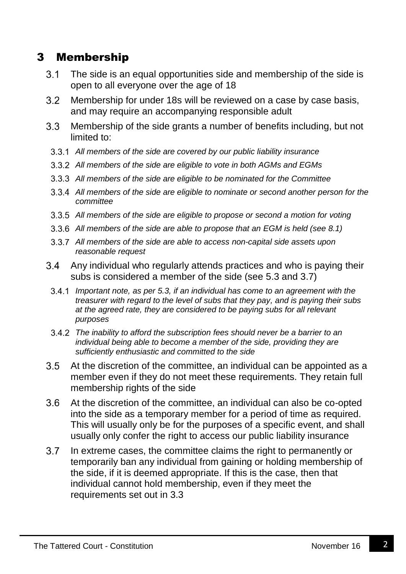## 3 Membership

- $3.1$ The side is an equal opportunities side and membership of the side is open to all everyone over the age of 18
- Membership for under 18s will be reviewed on a case by case basis,  $3.2$ and may require an accompanying responsible adult
- $3.3$ Membership of the side grants a number of benefits including, but not limited to:
- *All members of the side are covered by our public liability insurance*
- *All members of the side are eligible to vote in both AGMs and EGMs*
- *All members of the side are eligible to be nominated for the Committee*
- *All members of the side are eligible to nominate or second another person for the committee*
- *All members of the side are eligible to propose or second a motion for voting*
- *All members of the side are able to propose that an EGM is held (see 8.1)*
- *All members of the side are able to access non-capital side assets upon reasonable request*
- 3.4 Any individual who regularly attends practices and who is paying their subs is considered a member of the side (see 5.3 and 3.7)
- *Important note, as per 5.3, if an individual has come to an agreement with the treasurer with regard to the level of subs that they pay, and is paying their subs at the agreed rate, they are considered to be paying subs for all relevant purposes*
- *The inability to afford the subscription fees should never be a barrier to an individual being able to become a member of the side, providing they are sufficiently enthusiastic and committed to the side*
- $3.5$ At the discretion of the committee, an individual can be appointed as a member even if they do not meet these requirements. They retain full membership rights of the side
- $3.6$ At the discretion of the committee, an individual can also be co-opted into the side as a temporary member for a period of time as required. This will usually only be for the purposes of a specific event, and shall usually only confer the right to access our public liability insurance
- $3.7$ In extreme cases, the committee claims the right to permanently or temporarily ban any individual from gaining or holding membership of the side, if it is deemed appropriate. If this is the case, then that individual cannot hold membership, even if they meet the requirements set out in 3.3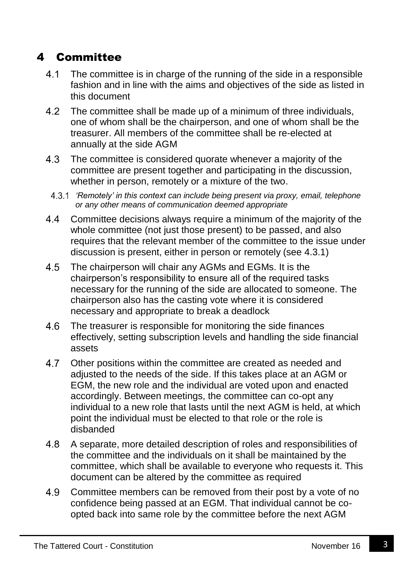# 4 Committee

- $4.1$ The committee is in charge of the running of the side in a responsible fashion and in line with the aims and objectives of the side as listed in this document
- $4.2$ The committee shall be made up of a minimum of three individuals, one of whom shall be the chairperson, and one of whom shall be the treasurer. All members of the committee shall be re-elected at annually at the side AGM
- 4.3 The committee is considered quorate whenever a majority of the committee are present together and participating in the discussion, whether in person, remotely or a mixture of the two.
- *'Remotely' in this context can include being present via proxy, email, telephone or any other means of communication deemed appropriate*
- $4.4$ Committee decisions always require a minimum of the majority of the whole committee (not just those present) to be passed, and also requires that the relevant member of the committee to the issue under discussion is present, either in person or remotely (see 4.3.1)
- 4.5 The chairperson will chair any AGMs and EGMs. It is the chairperson's responsibility to ensure all of the required tasks necessary for the running of the side are allocated to someone. The chairperson also has the casting vote where it is considered necessary and appropriate to break a deadlock
- 4.6 The treasurer is responsible for monitoring the side finances effectively, setting subscription levels and handling the side financial assets
- $4.7$ Other positions within the committee are created as needed and adjusted to the needs of the side. If this takes place at an AGM or EGM, the new role and the individual are voted upon and enacted accordingly. Between meetings, the committee can co-opt any individual to a new role that lasts until the next AGM is held, at which point the individual must be elected to that role or the role is disbanded
- 4.8 A separate, more detailed description of roles and responsibilities of the committee and the individuals on it shall be maintained by the committee, which shall be available to everyone who requests it. This document can be altered by the committee as required
- 4.9 Committee members can be removed from their post by a vote of no confidence being passed at an EGM. That individual cannot be coopted back into same role by the committee before the next AGM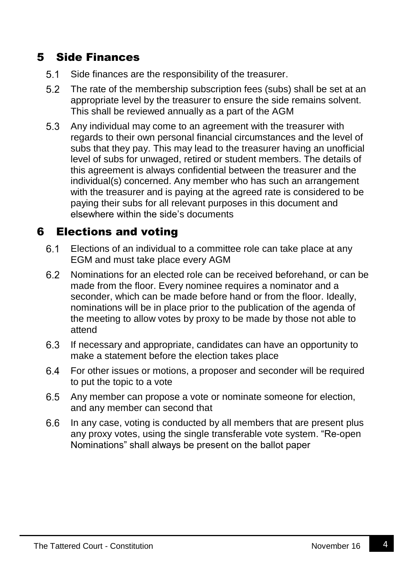#### 5 Side Finances

- $5.1$ Side finances are the responsibility of the treasurer.
- $5.2$ The rate of the membership subscription fees (subs) shall be set at an appropriate level by the treasurer to ensure the side remains solvent. This shall be reviewed annually as a part of the AGM
- 5.3 Any individual may come to an agreement with the treasurer with regards to their own personal financial circumstances and the level of subs that they pay. This may lead to the treasurer having an unofficial level of subs for unwaged, retired or student members. The details of this agreement is always confidential between the treasurer and the individual(s) concerned. Any member who has such an arrangement with the treasurer and is paying at the agreed rate is considered to be paying their subs for all relevant purposes in this document and elsewhere within the side's documents

#### 6 Elections and voting

- $6.1$ Elections of an individual to a committee role can take place at any EGM and must take place every AGM
- 6.2 Nominations for an elected role can be received beforehand, or can be made from the floor. Every nominee requires a nominator and a seconder, which can be made before hand or from the floor. Ideally, nominations will be in place prior to the publication of the agenda of the meeting to allow votes by proxy to be made by those not able to attend
- $6.3$ If necessary and appropriate, candidates can have an opportunity to make a statement before the election takes place
- $6.4$ For other issues or motions, a proposer and seconder will be required to put the topic to a vote
- $6.5$ Any member can propose a vote or nominate someone for election, and any member can second that
- $6.6$ In any case, voting is conducted by all members that are present plus any proxy votes, using the single transferable vote system. "Re-open Nominations" shall always be present on the ballot paper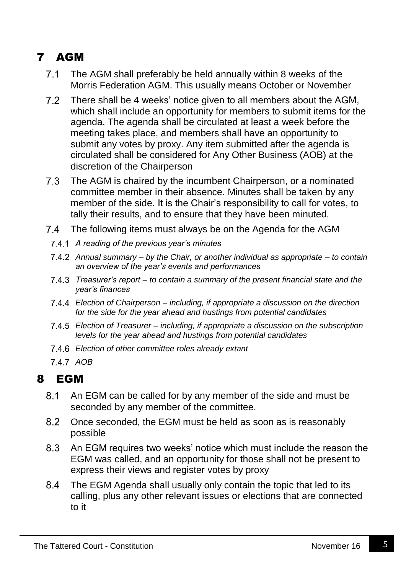# 7 AGM

- $7.1$ The AGM shall preferably be held annually within 8 weeks of the Morris Federation AGM. This usually means October or November
- $7.2$ There shall be 4 weeks' notice given to all members about the AGM, which shall include an opportunity for members to submit items for the agenda. The agenda shall be circulated at least a week before the meeting takes place, and members shall have an opportunity to submit any votes by proxy. Any item submitted after the agenda is circulated shall be considered for Any Other Business (AOB) at the discretion of the Chairperson
- $7.3$ The AGM is chaired by the incumbent Chairperson, or a nominated committee member in their absence. Minutes shall be taken by any member of the side. It is the Chair's responsibility to call for votes, to tally their results, and to ensure that they have been minuted.
- $7.4$ The following items must always be on the Agenda for the AGM
- *A reading of the previous year's minutes*
- *Annual summary – by the Chair, or another individual as appropriate – to contain an overview of the year's events and performances*
- *Treasurer's report – to contain a summary of the present financial state and the year's finances*
- *Election of Chairperson – including, if appropriate a discussion on the direction for the side for the year ahead and hustings from potential candidates*
- *Election of Treasurer – including, if appropriate a discussion on the subscription levels for the year ahead and hustings from potential candidates*
- *Election of other committee roles already extant*
- 7.4.7 AOB

# 8 EGM

- $8.1$ An EGM can be called for by any member of the side and must be seconded by any member of the committee.
- 8.2 Once seconded, the EGM must be held as soon as is reasonably possible
- 8.3 An EGM requires two weeks' notice which must include the reason the EGM was called, and an opportunity for those shall not be present to express their views and register votes by proxy
- $8.4^{\circ}$ The EGM Agenda shall usually only contain the topic that led to its calling, plus any other relevant issues or elections that are connected to it